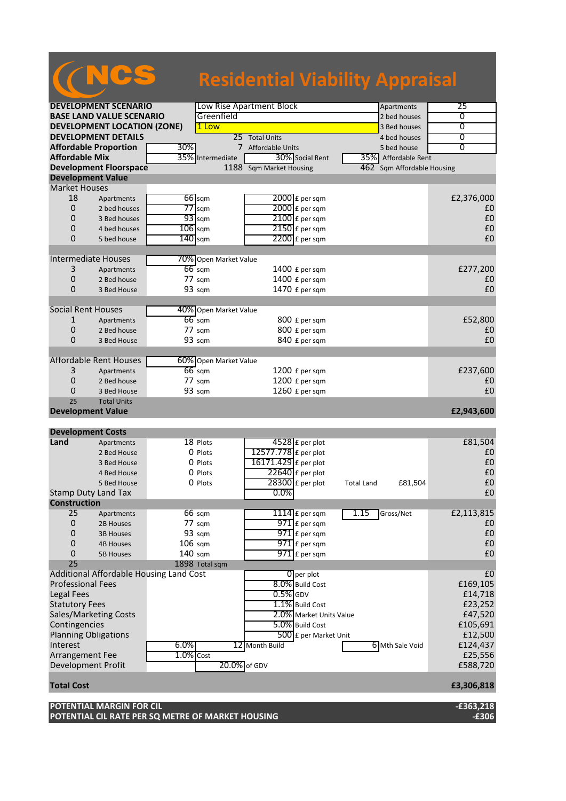## NCS **Residential Viability Appraisal**

| <b>DEVELOPMENT SCENARIO</b>         |                                         |              | Low Rise Apartment Block<br>Apartments |                         |                              | 25                |
|-------------------------------------|-----------------------------------------|--------------|----------------------------------------|-------------------------|------------------------------|-------------------|
| <b>BASE LAND VALUE SCENARIO</b>     |                                         |              | Greenfield                             |                         | 2 bed houses                 | 0                 |
| <b>DEVELOPMENT LOCATION (ZONE)</b>  |                                         |              | 1 Low                                  |                         | 3 Bed houses                 | $\overline{0}$    |
|                                     | <b>DEVELOPMENT DETAILS</b>              |              |                                        | 25 Total Units          | 4 bed houses                 | $\overline{0}$    |
| <b>Affordable Proportion</b><br>30% |                                         |              |                                        | 7 Affordable Units      | 5 bed house                  | 0                 |
| <b>Affordable Mix</b>               |                                         |              | 35% Intermediate                       | 30% Social Rent         | 35% Affordable Rent          |                   |
|                                     | <b>Development Floorspace</b>           |              |                                        | 1188 Sqm Market Housing | 462 Sqm Affordable Housing   |                   |
|                                     | <b>Development Value</b>                |              |                                        |                         |                              |                   |
| <b>Market Houses</b>                |                                         |              |                                        |                         |                              |                   |
| 18                                  | Apartments                              |              | $66$ sqm                               | 2000 £ per sqm          |                              | £2,376,000        |
| 0                                   | 2 bed houses                            |              | $77$ sqm                               | 2000 £ per sqm          |                              | £0                |
| 0                                   | 3 Bed houses                            |              | $93$ sqm                               | $2100$ £ per sqm        |                              | £0                |
| 0                                   | 4 bed houses                            | $106$ sqm    |                                        | 2150 £ per sqm          |                              | £0                |
| 0                                   | 5 bed house                             |              | $140$ sqm                              | $2200$ £ per sqm        |                              | £0                |
|                                     |                                         |              |                                        |                         |                              |                   |
|                                     | <b>Intermediate Houses</b>              |              | 70% Open Market Value                  |                         |                              |                   |
|                                     |                                         |              | $66$ sqm                               |                         |                              | £277,200          |
| 3                                   | Apartments                              |              |                                        | 1400 £ per sqm          |                              |                   |
| 0                                   | 2 Bed house                             |              | $77 \text{ sqm}$                       | 1400 £ per sqm          |                              | £0                |
| 0                                   | 3 Bed House                             |              | 93 sqm                                 | 1470 £ per sqm          |                              | £0                |
|                                     |                                         |              |                                        |                         |                              |                   |
| <b>Social Rent Houses</b>           |                                         |              | 40% Open Market Value                  |                         |                              |                   |
| 1                                   | Apartments                              |              | $66$ sqm                               | 800 £ per sqm           |                              | £52,800           |
| 0                                   | 2 Bed house                             |              | $77 \text{ sqm}$                       | 800 £ per sqm           |                              | £0                |
| 0                                   | 3 Bed House                             |              | 93 sqm                                 | 840 £ per sqm           |                              | £0                |
|                                     |                                         |              |                                        |                         |                              |                   |
|                                     | Affordable Rent Houses                  |              | 60% Open Market Value                  |                         |                              |                   |
| 3                                   | Apartments                              |              | $66$ sqm                               | 1200 £ per sqm          |                              | £237,600          |
| 0                                   | 2 Bed house                             |              | 77 sqm                                 | 1200 £ per sqm          |                              | £0                |
| 0                                   | 3 Bed House                             |              | 93 sqm                                 | 1260 £ per sqm          |                              | £0                |
| 25                                  | <b>Total Units</b>                      |              |                                        |                         |                              |                   |
|                                     | <b>Development Value</b>                |              |                                        |                         |                              | £2,943,600        |
|                                     |                                         |              |                                        |                         |                              |                   |
|                                     | <b>Development Costs</b>                |              |                                        |                         |                              |                   |
| Land                                | Apartments                              |              | 18 Plots                               | 4528 £ per plot         |                              | £81,504           |
|                                     | 2 Bed House                             |              | 0 Plots                                | 12577.778 £ per plot    |                              | £0                |
|                                     | 3 Bed House                             |              | 0 Plots                                | 16171.429 £ per plot    |                              | £0                |
|                                     | 4 Bed House                             |              | 0 Plots                                | $22640$ £ per plot      |                              | £0                |
|                                     | 5 Bed House                             |              | 0 Plots                                | $28300$ £ per plot      | £81,504<br><b>Total Land</b> | £0                |
|                                     | <b>Stamp Duty Land Tax</b>              |              |                                        | $0.0\%$                 |                              | £0                |
| <b>Construction</b>                 |                                         |              |                                        |                         |                              |                   |
| 25                                  | Apartments                              |              | 66 sqm                                 | $1114$ $E$ per sqm      | 1.15<br>Gross/Net            | £2,113,815        |
| 0                                   | 2B Houses                               |              | 77 sqm                                 | $971$ $E$ per sqm       |                              | £0                |
| 0                                   | <b>3B Houses</b>                        |              | 93 sqm                                 | $971$ £ per sqm         |                              | $\pmb{\text{f0}}$ |
| 0                                   | <b>4B Houses</b>                        | $106$ sqm    |                                        | $971$ $E$ per sqm       |                              | £0                |
| 0                                   | <b>5B Houses</b>                        | 140 sqm      |                                        | $971$ $E$ per sqm       |                              | £0                |
| 25                                  |                                         |              | 1898 Total sqm                         |                         |                              |                   |
|                                     | Additional Affordable Housing Land Cost |              |                                        | $0$ per plot            |                              | £0                |
| <b>Professional Fees</b>            |                                         |              |                                        | 8.0% Build Cost         |                              | £169,105          |
| <b>Legal Fees</b>                   |                                         |              |                                        | $0.5\%$ GDV             |                              | £14,718           |
| <b>Statutory Fees</b>               |                                         |              |                                        | 1.1% Build Cost         |                              | £23,252           |
|                                     | Sales/Marketing Costs                   |              |                                        | 2.0% Market Units Value |                              | £47,520           |
| Contingencies                       |                                         |              |                                        | 5.0% Build Cost         |                              | £105,691          |
|                                     | <b>Planning Obligations</b>             |              |                                        | 500 £ per Market Unit   |                              | £12,500           |
| Interest                            |                                         | 6.0%         |                                        | 12 Month Build          | 6 Mth Sale Void              | £124,437          |
| Arrangement Fee                     |                                         | $1.0\%$ Cost |                                        |                         |                              | £25,556           |
|                                     |                                         |              |                                        | 20.0% of GDV            |                              |                   |
|                                     | Development Profit                      |              |                                        |                         |                              | £588,720          |
|                                     |                                         |              |                                        |                         |                              |                   |
|                                     |                                         |              |                                        |                         |                              |                   |
| <b>Total Cost</b>                   |                                         |              |                                        |                         |                              | £3,306,818        |
|                                     | <b>POTENTIAL MARGIN FOR CIL</b>         |              |                                        |                         |                              | $-£363,218$       |

**POTENTIAL CIL RATE PER SQ METRE OF MARKET HOUSING -£306**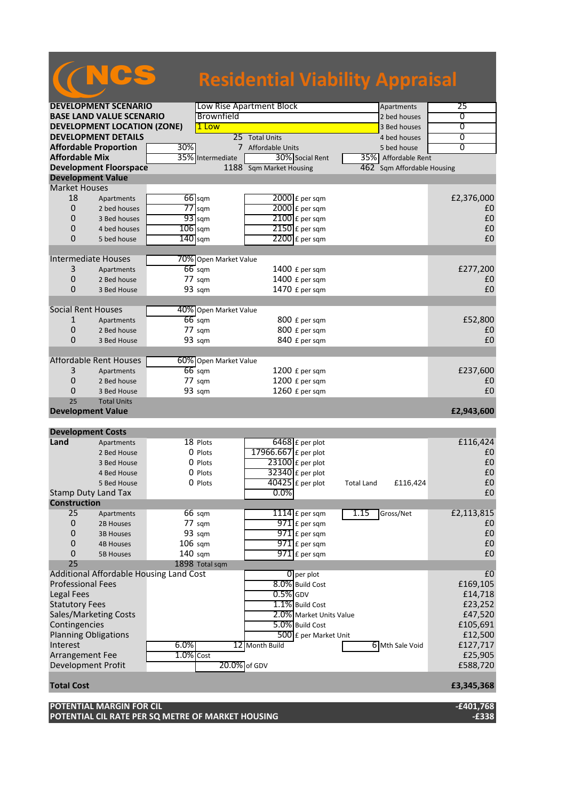## **DEVELOPMENT SCENARIO** Low Rise Apartment Block Apartments Apartments 25 CSS **Residential Viability Appraisal**

| <b>BASE LAND VALUE SCENARIO</b>    |                                         |                   | Brownfield            |                         |                         | waren chi<br>2 bed houses  | 0              |
|------------------------------------|-----------------------------------------|-------------------|-----------------------|-------------------------|-------------------------|----------------------------|----------------|
| <b>DEVELOPMENT LOCATION (ZONE)</b> |                                         |                   | 1 Low                 |                         | 3 Bed houses            | $\overline{0}$             |                |
|                                    | <b>DEVELOPMENT DETAILS</b>              |                   |                       | 25 Total Units          |                         | 4 bed houses               | $\overline{0}$ |
| <b>Affordable Proportion</b>       |                                         | 30%               |                       | 7 Affordable Units      |                         | 5 bed house                | $\overline{0}$ |
| <b>Affordable Mix</b>              |                                         |                   | 35% Intermediate      | 30% Social Rent         |                         | 35% Affordable Rent        |                |
|                                    | <b>Development Floorspace</b>           |                   |                       | 1188 Sqm Market Housing |                         | 462 Sqm Affordable Housing |                |
| <b>Development Value</b>           |                                         |                   |                       |                         |                         |                            |                |
| <b>Market Houses</b>               |                                         |                   |                       |                         |                         |                            |                |
| 18                                 | Apartments                              |                   | $66$ sqm              | 2000 £ per sqm          |                         |                            | £2,376,000     |
| $\mathbf 0$                        | 2 bed houses                            |                   | $77$ sqm              | 2000 £ per sqm          |                         |                            | £0             |
| 0                                  | 3 Bed houses                            |                   | $93$ sqm              | $2100$ £ per sqm        |                         |                            | £0             |
| 0                                  | 4 bed houses                            | $106$ sqm         |                       | $2150$ £ per sqm        |                         |                            | £0             |
| 0                                  | 5 bed house                             | $140$ sqm         |                       | $2200$ £ per sqm        |                         |                            | £0             |
|                                    |                                         |                   |                       |                         |                         |                            |                |
| <b>Intermediate Houses</b>         |                                         |                   | 70% Open Market Value |                         |                         |                            |                |
| 3                                  | Apartments                              |                   | $66$ sqm              | 1400 £ per sqm          |                         |                            | £277,200       |
| $\mathbf 0$                        | 2 Bed house                             |                   | 77 sqm                | 1400 £ per sqm          |                         |                            | £0             |
| 0                                  | 3 Bed House                             |                   | 93 sqm                | 1470 £ per sqm          |                         |                            | £0             |
|                                    |                                         |                   |                       |                         |                         |                            |                |
| <b>Social Rent Houses</b>          |                                         |                   | 40% Open Market Value |                         |                         |                            |                |
| 1                                  | Apartments                              |                   | $66$ sqm              | 800 £ per sqm           |                         |                            | £52,800        |
| 0                                  | 2 Bed house                             |                   | 77 sqm                | 800 £ per sqm           |                         |                            | £0             |
| 0                                  | 3 Bed House                             |                   | 93 sqm                | 840 £ per sqm           |                         |                            | £0             |
|                                    |                                         |                   |                       |                         |                         |                            |                |
|                                    | <b>Affordable Rent Houses</b>           |                   | 60% Open Market Value |                         |                         |                            |                |
| 3                                  | Apartments                              |                   | $66$ sqm              | 1200 £ per sqm          |                         |                            | £237,600       |
| 0                                  | 2 Bed house                             |                   | 77 sqm                | 1200 £ per sqm          |                         |                            | £0             |
| 0                                  | 3 Bed House                             |                   | 93 sqm                | $1260$ £ per sqm        |                         |                            | £0             |
| 25                                 | <b>Total Units</b>                      |                   |                       |                         |                         |                            |                |
| <b>Development Value</b>           |                                         |                   |                       |                         |                         |                            | £2,943,600     |
|                                    |                                         |                   |                       |                         |                         |                            |                |
| <b>Development Costs</b>           |                                         |                   |                       |                         |                         |                            |                |
| Land                               | Apartments                              |                   | 18 Plots              | $6468$ £ per plot       |                         |                            | £116,424       |
|                                    | 2 Bed House                             |                   | 0 Plots               | 17966.667 £ per plot    |                         |                            | £0             |
|                                    |                                         |                   |                       |                         |                         |                            |                |
|                                    | 3 Bed House                             |                   | 0 Plots               | 23100 £ per plot        |                         |                            | £0             |
|                                    | 4 Bed House                             |                   | 0 Plots               | 32340 £ per plot        |                         |                            | £0             |
|                                    | 5 Bed House                             |                   | 0 Plots               | 40425 £ per plot        | <b>Total Land</b>       | £116,424                   | £0             |
| <b>Stamp Duty Land Tax</b>         |                                         |                   |                       | $0.0\%$                 |                         |                            | £0             |
| <b>Construction</b>                |                                         |                   |                       |                         |                         |                            |                |
| 25                                 | Apartments                              |                   | 66 sqm                | 1114 $f$ per sqm        | 1.15                    | Gross/Net                  | £2,113,815     |
| $\mathbf 0$                        | 2B Houses                               |                   | 77 sqm                | $971$ E per sqm         |                         |                            | £0             |
| 0                                  | 3B Houses                               |                   | 93 sqm                | $971$ $E$ per sqm       |                         |                            | £0             |
| $\boldsymbol{0}$                   | <b>4B Houses</b>                        | $106 \text{ sqm}$ |                       | $971$ £ per sqm         |                         |                            | £0             |
| 0                                  | <b>5B Houses</b>                        | 140 sqm           |                       | $971$ E per sqm         |                         |                            | £0             |
| 25                                 |                                         |                   | 1898 Total sqm        |                         |                         |                            |                |
|                                    | Additional Affordable Housing Land Cost |                   |                       | $0$ per plot            |                         |                            | £0             |
| <b>Professional Fees</b>           |                                         |                   |                       | 8.0% Build Cost         |                         |                            | £169,105       |
| <b>Legal Fees</b>                  |                                         |                   |                       | $0.5\%$ GDV             |                         |                            | £14,718        |
| <b>Statutory Fees</b>              |                                         |                   |                       | 1.1% Build Cost         |                         |                            | £23,252        |
| Sales/Marketing Costs              |                                         |                   |                       |                         | 2.0% Market Units Value |                            | £47,520        |
| Contingencies                      |                                         |                   |                       | 5.0% Build Cost         |                         |                            | £105,691       |
| <b>Planning Obligations</b>        |                                         |                   |                       |                         | 500 £ per Market Unit   |                            | £12,500        |
| Interest                           |                                         | 6.0%              |                       | 12 Month Build          |                         | 6 Mth Sale Void            | £127,717       |
| Arrangement Fee                    |                                         | 1.0% Cost         |                       |                         |                         |                            | £25,905        |
| Development Profit                 |                                         |                   | 20.0% of GDV          |                         |                         |                            | £588,720       |
| <b>Total Cost</b>                  |                                         |                   |                       |                         |                         |                            |                |
|                                    |                                         |                   |                       |                         |                         |                            | £3,345,368     |

**POTENTIAL CIL RATE PER SQ METRE OF MARKET HOUSING -£338**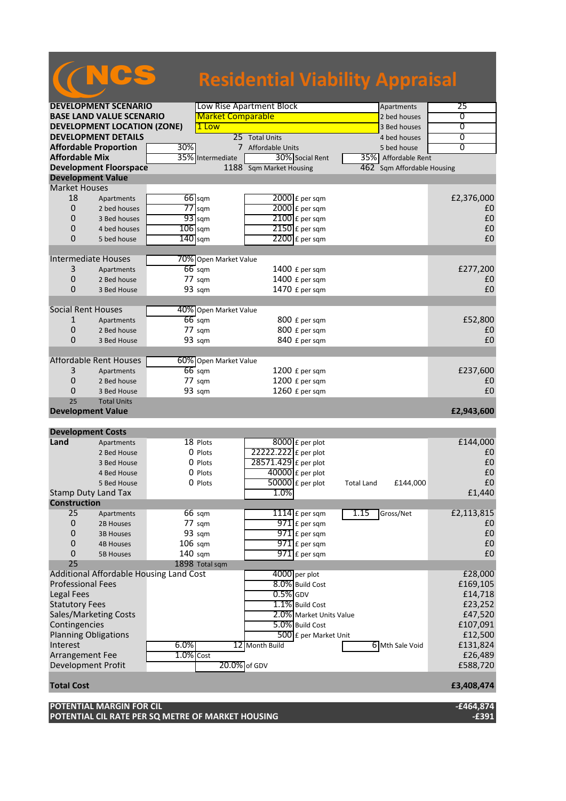|                                            |                      |                                         |           | <b>Residential Viability Appraisal</b> |                          |                                  |                   |                        |                    |
|--------------------------------------------|----------------------|-----------------------------------------|-----------|----------------------------------------|--------------------------|----------------------------------|-------------------|------------------------|--------------------|
|                                            |                      |                                         |           |                                        |                          |                                  |                   |                        |                    |
|                                            |                      | <b>DEVELOPMENT SCENARIO</b>             |           |                                        | Low Rise Apartment Block |                                  |                   | Apartments             | 25                 |
|                                            |                      | <b>BASE LAND VALUE SCENARIO</b>         |           | <b>Market Comparable</b>               |                          |                                  |                   | 2 bed houses           | 0                  |
|                                            |                      | <b>DEVELOPMENT LOCATION (ZONE)</b>      |           | 1 Low                                  |                          |                                  |                   | 3 Bed houses           | $\overline{0}$     |
|                                            |                      | <b>DEVELOPMENT DETAILS</b>              |           |                                        | 25 Total Units           |                                  |                   | 4 bed houses           | 0                  |
|                                            |                      | <b>Affordable Proportion</b>            | 30%       | 7                                      | Affordable Units         |                                  |                   | 5 bed house            | $\overline{0}$     |
| <b>Affordable Mix</b>                      |                      |                                         |           | 35% Intermediate                       |                          | 30% Social Rent                  |                   | 35% Affordable Rent    |                    |
|                                            |                      | <b>Development Floorspace</b>           |           |                                        | 1188 Sqm Market Housing  |                                  | 462               | Sqm Affordable Housing |                    |
|                                            |                      | <b>Development Value</b>                |           |                                        |                          |                                  |                   |                        |                    |
|                                            | <b>Market Houses</b> |                                         |           |                                        |                          |                                  |                   |                        |                    |
|                                            | 18                   | Apartments                              |           | $66$ sqm                               |                          | $2000$ £ per sqm                 |                   |                        | £2,376,000         |
|                                            | 0                    | 2 bed houses                            |           | $77$ sqm                               |                          | $2000$ $E$ per sqm               |                   |                        | £0                 |
|                                            | 0                    | 3 Bed houses                            |           | $93$ sqm                               |                          | $2100$ £ per sqm                 |                   |                        | £0                 |
|                                            | 0                    | 4 bed houses                            | $106$ sqm |                                        |                          | $2150$ £ per sqm                 |                   |                        | £0                 |
|                                            | $\Omega$             | 5 bed house                             | $140$ sqm |                                        |                          | $2200$ £ per sqm                 |                   |                        | £0                 |
|                                            |                      |                                         |           |                                        |                          |                                  |                   |                        |                    |
|                                            |                      | <b>Intermediate Houses</b>              |           | 70% Open Market Value                  |                          |                                  |                   |                        |                    |
|                                            | 3                    | Apartments                              |           | $66$ sqm                               |                          | 1400 £ per sqm                   |                   |                        | £277,200           |
|                                            | 0                    | 2 Bed house                             |           | $77 \text{ s}$ gm                      |                          | 1400 £ per sqm                   |                   |                        | £0                 |
|                                            | 0                    | 3 Bed House                             |           | 93 sqm                                 |                          | 1470 £ per sqm                   |                   |                        | £0                 |
|                                            |                      | <b>Social Rent Houses</b>               |           |                                        |                          |                                  |                   |                        |                    |
|                                            |                      |                                         |           | 40% Open Market Value                  |                          |                                  |                   |                        |                    |
|                                            | 1<br>0               | Apartments                              |           | $66$ sqm<br>77 sqm                     |                          | 800 £ per sqm<br>800 £ per sqm   |                   |                        | £52,800<br>£0      |
|                                            | 0                    | 2 Bed house                             |           |                                        |                          |                                  |                   |                        | £0                 |
|                                            |                      | 3 Bed House                             |           | 93 sqm                                 |                          | 840 £ per sqm                    |                   |                        |                    |
|                                            |                      | <b>Affordable Rent Houses</b>           |           | 60% Open Market Value                  |                          |                                  |                   |                        |                    |
|                                            | 3                    | Apartments                              |           | $66$ sqm                               |                          | 1200 £ per sqm                   |                   |                        | £237,600           |
|                                            | 0                    | 2 Bed house                             |           | $77 \text{ sqm}$                       |                          | 1200 £ per sqm                   |                   |                        | £0                 |
|                                            | 0                    | 3 Bed House                             |           | 93 sqm                                 |                          | 1260 £ per sqm                   |                   |                        | £0                 |
|                                            | 25                   | <b>Total Units</b>                      |           |                                        |                          |                                  |                   |                        |                    |
|                                            |                      | <b>Development Value</b>                |           |                                        |                          |                                  |                   |                        | £2,943,600         |
|                                            |                      |                                         |           |                                        |                          |                                  |                   |                        |                    |
|                                            |                      | <b>Development Costs</b>                |           |                                        |                          |                                  |                   |                        |                    |
| Land                                       |                      | Apartments                              |           | 18 Plots                               |                          | 8000 £ per plot                  |                   |                        | £144,000           |
|                                            |                      | 2 Bed House                             |           | 0 Plots                                | 22222.222 £ per plot     |                                  |                   |                        | £0                 |
|                                            |                      | 3 Bed House                             |           | 0 Plots                                | 28571.429 £ per plot     |                                  |                   |                        | £0                 |
|                                            |                      | 4 Bed House                             |           | 0 Plots                                |                          | $40000$ £ per plot               |                   |                        | £0                 |
|                                            |                      | 5 Bed House                             |           | 0 Plots                                |                          | $50000$ £ per plot               | <b>Total Land</b> | £144,000               | £0                 |
|                                            |                      | <b>Stamp Duty Land Tax</b>              |           |                                        | 1.0%                     |                                  |                   |                        | £1,440             |
| <b>Construction</b>                        |                      |                                         |           |                                        |                          |                                  |                   |                        |                    |
|                                            | 25                   | Apartments                              |           | 66 sqm                                 |                          | $1114$ $E$ per sqm               | 1.15              | Gross/Net              | £2,113,815         |
|                                            | 0                    | 2B Houses                               |           | 77 sqm                                 |                          | $971$ $E$ per sqm                |                   |                        | £0                 |
|                                            | 0                    | <b>3B Houses</b>                        |           | 93 sqm                                 |                          | $971$ $E$ per sqm                |                   |                        | £0                 |
|                                            | 0                    | <b>4B Houses</b>                        | $106$ sqm |                                        |                          | $971$ $E$ per sqm                |                   |                        | £0                 |
|                                            | 0                    | <b>5B Houses</b>                        | $140$ sqm |                                        |                          | $971$ $E$ per sqm                |                   |                        | £0                 |
|                                            | 25                   |                                         |           | 1898 Total sqm                         |                          |                                  |                   |                        | £28,000            |
|                                            |                      | Additional Affordable Housing Land Cost |           |                                        |                          | 4000 per plot<br>8.0% Build Cost |                   |                        |                    |
| <b>Professional Fees</b>                   |                      |                                         |           |                                        | $0.5\%$ GDV              |                                  |                   |                        | £169,105           |
| <b>Legal Fees</b><br><b>Statutory Fees</b> |                      |                                         |           |                                        |                          | 1.1% Build Cost                  |                   |                        | £14,718            |
|                                            |                      | Sales/Marketing Costs                   |           |                                        |                          | 2.0% Market Units Value          |                   |                        | £23,252<br>£47,520 |
|                                            |                      |                                         |           |                                        |                          |                                  |                   |                        |                    |

Contingencies and the cost and the cost of the S.0% Build Cost 6.0% E107,091 Planning Obligations  $\sqrt{500}$  £ per Market Unit  $\sqrt{512}$  per Market Unit  $\sqrt{512}$ Interest 1.0% 6.0% 12 Month Build 6 Mth Sale Void £131,824<br>Arrangement Fee 1.0% Cost 6 E26,489 Arrangement Fee 1.0% Cost 1.0% Cost 1.0% Cost 1.0% Cost 1.0% Cost 26,489

**Total Cost £3,408,474**

**POTENTIAL MARGIN FOR CIL -£464,874 POTENTIAL CIL RATE PER SQ METRE OF MARKET HOUSING -£391**

Development Profit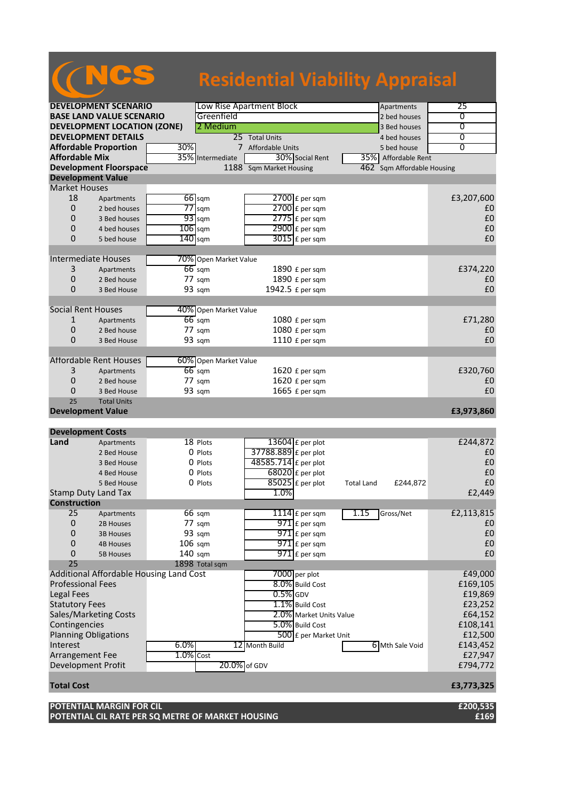|                             |                                    |                                         | <b>Residential Viability Appraisal</b> |                               |                   |
|-----------------------------|------------------------------------|-----------------------------------------|----------------------------------------|-------------------------------|-------------------|
|                             | <b>DEVELOPMENT SCENARIO</b>        |                                         | Low Rise Apartment Block               | Apartments                    | 25                |
|                             | <b>BASE LAND VALUE SCENARIO</b>    | Greenfield                              |                                        | 2 bed houses                  | 0                 |
|                             | <b>DEVELOPMENT LOCATION (ZONE)</b> | 2 Medium                                |                                        | 3 Bed houses                  | 0                 |
|                             | <b>DEVELOPMENT DETAILS</b>         |                                         | 25 Total Units                         | 4 bed houses                  | 0                 |
|                             | <b>Affordable Proportion</b>       | 30%                                     | 7 Affordable Units                     | 5 bed house                   | $\overline{0}$    |
| <b>Affordable Mix</b>       |                                    | 35% Intermediate                        | 30% Social Rent                        | 35% Affordable Rent           |                   |
|                             | <b>Development Floorspace</b>      |                                         | 1188 Sqm Market Housing                | Sqm Affordable Housing<br>462 |                   |
|                             |                                    |                                         |                                        |                               |                   |
| <b>Development Value</b>    |                                    |                                         |                                        |                               |                   |
| <b>Market Houses</b>        |                                    |                                         |                                        |                               |                   |
| 18                          | Apartments                         | 66 sqm                                  | $2700$ £ per sqm                       |                               | £3,207,600        |
| $\mathbf{0}$                | 2 bed houses                       | $77$ sqm                                | $2700$ $E$ per sqm                     |                               | £0                |
| 0                           | 3 Bed houses                       | $93$ sqm                                | $2775$ £ per sqm                       |                               | £0                |
| 0                           | 4 bed houses                       | $106$ sqm                               | $2900 \text{ f}$ per sqm               |                               | £0                |
| $\Omega$                    | 5 bed house                        | $140$ sqm                               | $3015$ £ per sqm                       |                               | £0                |
| <b>Intermediate Houses</b>  |                                    | 70% Open Market Value                   |                                        |                               |                   |
|                             |                                    |                                         |                                        |                               |                   |
| 3                           | Apartments                         | $66$ sqm                                | 1890 £ per sqm                         |                               | £374,220          |
| 0                           | 2 Bed house                        | $77 \text{ sqm}$                        | 1890 £ per sqm                         |                               | £0                |
| $\Omega$                    | 3 Bed House                        | 93 sqm                                  | 1942.5 £ per sqm                       |                               | £0                |
| <b>Social Rent Houses</b>   |                                    | 40% Open Market Value                   |                                        |                               |                   |
| 1                           | Apartments                         | $66$ sqm                                | 1080 £ per sqm                         |                               | £71,280           |
| $\mathbf{0}$                | 2 Bed house                        | 77 sqm                                  | 1080 £ per sqm                         |                               | £0                |
| $\Omega$                    | 3 Bed House                        | 93 sqm                                  | 1110 £ per sqm                         |                               | £0                |
|                             |                                    |                                         |                                        |                               |                   |
|                             | <b>Affordable Rent Houses</b>      | 60% Open Market Value                   |                                        |                               |                   |
| 3                           | Apartments                         | $66$ sqm                                | 1620 £ per sqm                         |                               | £320,760          |
| 0                           | 2 Bed house                        | $77 \text{ sqm}$                        | 1620 £ per sqm                         |                               | £0                |
| 0                           | 3 Bed House                        | 93 sqm                                  | 1665 £ per sqm                         |                               | £0                |
| 25                          | <b>Total Units</b>                 |                                         |                                        |                               |                   |
| <b>Development Value</b>    |                                    |                                         |                                        |                               | £3,973,860        |
| <b>Development Costs</b>    |                                    |                                         |                                        |                               |                   |
| Land                        | Apartments                         | 18 Plots                                | 13604 £ per plot                       |                               | £244,872          |
|                             | 2 Bed House                        | 0 Plots                                 | 37788.889 £ per plot                   |                               | £0                |
|                             | 3 Bed House                        | 0 Plots                                 | 48585.714 £ per plot                   |                               | £0                |
|                             | 4 Bed House                        | 0 Plots                                 | $68020$ £ per plot                     |                               | £0                |
|                             | 5 Bed House                        | 0 Plots                                 | $85025$ £ per plot                     |                               | $\pmb{\text{f0}}$ |
|                             |                                    |                                         |                                        | £244,872<br><b>Total Land</b> |                   |
| <b>Construction</b>         | Stamp Duty Land Tax                |                                         | 1.0%                                   |                               | £2,449            |
|                             |                                    |                                         |                                        |                               |                   |
| 25                          | Apartments                         | 66 sqm                                  | $1114$ $E$ per sqm                     | 1.15<br>Gross/Net             | £2,113,815        |
| $\mathbf 0$                 | 2B Houses                          | 77 sqm                                  | $971$ $E$ per sqm                      |                               | £0                |
| 0                           | <b>3B Houses</b>                   | 93 sqm                                  | $971$ $E$ per sqm                      |                               | £0                |
| $\mathbf{0}$                | <b>4B Houses</b>                   | $106$ sqm                               | $971$ $E$ per sqm                      |                               | £0                |
| 0                           | <b>5B Houses</b>                   | $140$ sqm                               | $971$ E per sqm                        |                               | £0                |
| 25                          |                                    | 1898 Total sqm                          |                                        |                               |                   |
|                             |                                    | Additional Affordable Housing Land Cost | 7000 per plot                          |                               | £49,000           |
| <b>Professional Fees</b>    |                                    |                                         | 8.0% Build Cost                        |                               | £169,105          |
| <b>Legal Fees</b>           |                                    |                                         | $0.5%$ GDV                             |                               | £19,869           |
| <b>Statutory Fees</b>       |                                    |                                         | 1.1% Build Cost                        |                               | £23,252           |
|                             | Sales/Marketing Costs              |                                         | 2.0% Market Units Value                |                               | £64,152           |
| Contingencies               |                                    |                                         | 5.0% Build Cost                        |                               | £108,141          |
| <b>Planning Obligations</b> |                                    |                                         | 500 £ per Market Unit                  |                               | £12,500           |
| Interest                    |                                    | 6.0%                                    | 12 Month Build                         | 6 Mth Sale Void               | £143,452          |
| Arrangement Fee             |                                    | $1.0\%$ Cost                            |                                        |                               | £27,947           |
| <b>Development Profit</b>   |                                    |                                         | 20.0% of GDV                           |                               | £794,772          |
|                             |                                    |                                         |                                        |                               |                   |
| <b>Total Cost</b>           |                                    |                                         |                                        |                               | £3,773,325        |

**POTENTIAL MARGIN FOR CIL £200,535 POTENTIAL CIL RATE PER SQ METRE OF MARKET HOUSING £169**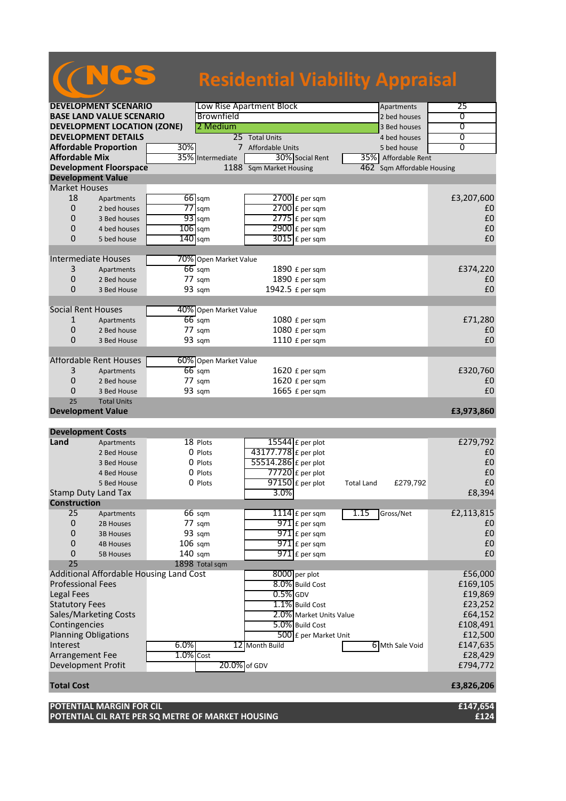| <b>Residential Viability Appraisal</b><br>Low Rise Apartment Block<br>25<br><b>DEVELOPMENT SCENARIO</b><br>Apartments<br>Brownfield<br><b>BASE LAND VALUE SCENARIO</b><br>0<br>2 bed houses<br><b>DEVELOPMENT LOCATION (ZONE)</b><br>2 Medium<br>$\overline{0}$<br>3 Bed houses<br><b>DEVELOPMENT DETAILS</b><br>25 Total Units<br>0<br>4 bed houses<br><b>Affordable Proportion</b><br>30%<br>$\overline{0}$<br>7 Affordable Units<br>5 bed house<br><b>Affordable Mix</b><br>35%<br>30% Social Rent<br>Intermediate<br>35% Affordable Rent<br>1188 Sqm Market Housing<br><b>Development Floorspace</b><br>462<br>Sqm Affordable Housing<br><b>Development Value</b><br><b>Market Houses</b><br>18<br>£3,207,600<br>$66$ sqm<br>$2700$ £ per sqm<br>Apartments<br>$\overline{0}$<br>$77$ sqm<br>2 bed houses<br>$2700$ $E$ per sqm<br>£0<br>$93$ sqm<br>£0<br>0<br>$2775$ $E$ per sqm<br>3 Bed houses<br>£0<br>0<br>$106$ sqm<br>4 bed houses<br>$2900 \text{ f}$ per sqm<br>£0<br>$\Omega$<br>$140$ sqm<br>$3015$ £ per sqm<br>5 bed house<br><b>Intermediate Houses</b><br>70% Open Market Value<br>3<br>$66$ sqm<br>£374,220<br>1890 £ per sqm<br>Apartments<br>0<br>77 sqm<br>1890 £ per sqm<br>£0<br>2 Bed house<br>1942.5 £ per sqm<br>£0<br>0<br>93 sqm<br>3 Bed House<br><b>Social Rent Houses</b><br>40% Open Market Value<br>$66$ sqm<br>1080 £ per sqm<br>£71,280<br>1<br>Apartments<br>0<br>77 sqm<br>1080 £ per sqm<br>£0<br>2 Bed house<br>£0<br>0<br>93 sqm<br>1110 £ per sqm<br>3 Bed House<br><b>Affordable Rent Houses</b><br>60% Open Market Value<br>3<br>£320,760<br>$66$ sqm<br>1620 £ per sqm<br>Apartments<br>0<br>1620 £ per sqm<br>2 Bed house<br>$77 \text{ sqm}$<br>£0<br>£0<br>93 sqm<br>1665 £ per sqm<br>0<br>3 Bed House<br>25<br><b>Total Units</b><br><b>Development Value</b><br>£3,973,860<br><b>Development Costs</b><br>Land<br>18 Plots<br>$15544$ E per plot<br>£279,792<br>Apartments<br>43177.778 £ per plot<br>0 Plots<br>£0<br>2 Bed House<br>55514.286 £ per plot<br>£0<br>0 Plots<br>3 Bed House<br>£0<br>$77720$ £ per plot<br>0 Plots<br>4 Bed House<br>$\overline{97150}$ £ per plot<br>£0<br>0 Plots<br>5 Bed House<br>£279,792<br><b>Total Land</b><br>3.0%<br><b>Stamp Duty Land Tax</b><br>£8,394<br><b>Construction</b><br>25<br>$1114$ $E$ per sqm<br>1.15<br>Gross/Net<br>£2,113,815<br>66 sqm<br>Apartments<br>$971$ $E$ per sqm<br>0<br>77 sqm<br>£0<br>2B Houses<br>0<br>93 sqm<br>$971$ $E$ per sqm<br>£0<br><b>3B Houses</b><br>$\mathbf 0$<br>$106$ sqm<br>971 £ per sqm<br>£0<br><b>4B Houses</b><br>$971$ £ per sqm<br>£0<br>0<br>$140$ sqm<br><b>5B Houses</b><br>25<br>1898 Total sqm<br>Additional Affordable Housing Land Cost<br>8000 per plot<br>£56,000<br>8.0% Build Cost<br><b>Professional Fees</b><br>£169,105<br><b>Legal Fees</b><br>$0.5\%$ GDV<br>£19,869<br><b>Statutory Fees</b><br>1.1% Build Cost<br>£23,252<br>Sales/Marketing Costs<br>2.0% Market Units Value<br>£64,152<br>Contingencies<br>£108,491<br>5.0% Build Cost<br><b>Planning Obligations</b><br>500 £ per Market Unit<br>£12,500<br>Interest<br>£147,635<br>6.0%<br>12 Month Build<br>6 Mth Sale Void<br>$1.0\%$ Cost<br>Arrangement Fee<br>£28,429<br><b>Development Profit</b><br>20.0% of GDV<br>£794,772<br><b>Total Cost</b><br>£3,826,206 |  |  |  |  |  |
|---------------------------------------------------------------------------------------------------------------------------------------------------------------------------------------------------------------------------------------------------------------------------------------------------------------------------------------------------------------------------------------------------------------------------------------------------------------------------------------------------------------------------------------------------------------------------------------------------------------------------------------------------------------------------------------------------------------------------------------------------------------------------------------------------------------------------------------------------------------------------------------------------------------------------------------------------------------------------------------------------------------------------------------------------------------------------------------------------------------------------------------------------------------------------------------------------------------------------------------------------------------------------------------------------------------------------------------------------------------------------------------------------------------------------------------------------------------------------------------------------------------------------------------------------------------------------------------------------------------------------------------------------------------------------------------------------------------------------------------------------------------------------------------------------------------------------------------------------------------------------------------------------------------------------------------------------------------------------------------------------------------------------------------------------------------------------------------------------------------------------------------------------------------------------------------------------------------------------------------------------------------------------------------------------------------------------------------------------------------------------------------------------------------------------------------------------------------------------------------------------------------------------------------------------------------------------------------------------------------------------------------------------------------------------------------------------------------------------------------------------------------------------------------------------------------------------------------------------------------------------------------------------------------------------------------------------------------------------------------------------------------------------------------------------------------------------------------------------------------------------------------------------------------------------------------------------------------------------------------------------------------------------------------------------|--|--|--|--|--|
|                                                                                                                                                                                                                                                                                                                                                                                                                                                                                                                                                                                                                                                                                                                                                                                                                                                                                                                                                                                                                                                                                                                                                                                                                                                                                                                                                                                                                                                                                                                                                                                                                                                                                                                                                                                                                                                                                                                                                                                                                                                                                                                                                                                                                                                                                                                                                                                                                                                                                                                                                                                                                                                                                                                                                                                                                                                                                                                                                                                                                                                                                                                                                                                                                                                                                                   |  |  |  |  |  |
|                                                                                                                                                                                                                                                                                                                                                                                                                                                                                                                                                                                                                                                                                                                                                                                                                                                                                                                                                                                                                                                                                                                                                                                                                                                                                                                                                                                                                                                                                                                                                                                                                                                                                                                                                                                                                                                                                                                                                                                                                                                                                                                                                                                                                                                                                                                                                                                                                                                                                                                                                                                                                                                                                                                                                                                                                                                                                                                                                                                                                                                                                                                                                                                                                                                                                                   |  |  |  |  |  |
|                                                                                                                                                                                                                                                                                                                                                                                                                                                                                                                                                                                                                                                                                                                                                                                                                                                                                                                                                                                                                                                                                                                                                                                                                                                                                                                                                                                                                                                                                                                                                                                                                                                                                                                                                                                                                                                                                                                                                                                                                                                                                                                                                                                                                                                                                                                                                                                                                                                                                                                                                                                                                                                                                                                                                                                                                                                                                                                                                                                                                                                                                                                                                                                                                                                                                                   |  |  |  |  |  |
|                                                                                                                                                                                                                                                                                                                                                                                                                                                                                                                                                                                                                                                                                                                                                                                                                                                                                                                                                                                                                                                                                                                                                                                                                                                                                                                                                                                                                                                                                                                                                                                                                                                                                                                                                                                                                                                                                                                                                                                                                                                                                                                                                                                                                                                                                                                                                                                                                                                                                                                                                                                                                                                                                                                                                                                                                                                                                                                                                                                                                                                                                                                                                                                                                                                                                                   |  |  |  |  |  |
|                                                                                                                                                                                                                                                                                                                                                                                                                                                                                                                                                                                                                                                                                                                                                                                                                                                                                                                                                                                                                                                                                                                                                                                                                                                                                                                                                                                                                                                                                                                                                                                                                                                                                                                                                                                                                                                                                                                                                                                                                                                                                                                                                                                                                                                                                                                                                                                                                                                                                                                                                                                                                                                                                                                                                                                                                                                                                                                                                                                                                                                                                                                                                                                                                                                                                                   |  |  |  |  |  |
|                                                                                                                                                                                                                                                                                                                                                                                                                                                                                                                                                                                                                                                                                                                                                                                                                                                                                                                                                                                                                                                                                                                                                                                                                                                                                                                                                                                                                                                                                                                                                                                                                                                                                                                                                                                                                                                                                                                                                                                                                                                                                                                                                                                                                                                                                                                                                                                                                                                                                                                                                                                                                                                                                                                                                                                                                                                                                                                                                                                                                                                                                                                                                                                                                                                                                                   |  |  |  |  |  |
|                                                                                                                                                                                                                                                                                                                                                                                                                                                                                                                                                                                                                                                                                                                                                                                                                                                                                                                                                                                                                                                                                                                                                                                                                                                                                                                                                                                                                                                                                                                                                                                                                                                                                                                                                                                                                                                                                                                                                                                                                                                                                                                                                                                                                                                                                                                                                                                                                                                                                                                                                                                                                                                                                                                                                                                                                                                                                                                                                                                                                                                                                                                                                                                                                                                                                                   |  |  |  |  |  |
|                                                                                                                                                                                                                                                                                                                                                                                                                                                                                                                                                                                                                                                                                                                                                                                                                                                                                                                                                                                                                                                                                                                                                                                                                                                                                                                                                                                                                                                                                                                                                                                                                                                                                                                                                                                                                                                                                                                                                                                                                                                                                                                                                                                                                                                                                                                                                                                                                                                                                                                                                                                                                                                                                                                                                                                                                                                                                                                                                                                                                                                                                                                                                                                                                                                                                                   |  |  |  |  |  |
|                                                                                                                                                                                                                                                                                                                                                                                                                                                                                                                                                                                                                                                                                                                                                                                                                                                                                                                                                                                                                                                                                                                                                                                                                                                                                                                                                                                                                                                                                                                                                                                                                                                                                                                                                                                                                                                                                                                                                                                                                                                                                                                                                                                                                                                                                                                                                                                                                                                                                                                                                                                                                                                                                                                                                                                                                                                                                                                                                                                                                                                                                                                                                                                                                                                                                                   |  |  |  |  |  |
|                                                                                                                                                                                                                                                                                                                                                                                                                                                                                                                                                                                                                                                                                                                                                                                                                                                                                                                                                                                                                                                                                                                                                                                                                                                                                                                                                                                                                                                                                                                                                                                                                                                                                                                                                                                                                                                                                                                                                                                                                                                                                                                                                                                                                                                                                                                                                                                                                                                                                                                                                                                                                                                                                                                                                                                                                                                                                                                                                                                                                                                                                                                                                                                                                                                                                                   |  |  |  |  |  |
|                                                                                                                                                                                                                                                                                                                                                                                                                                                                                                                                                                                                                                                                                                                                                                                                                                                                                                                                                                                                                                                                                                                                                                                                                                                                                                                                                                                                                                                                                                                                                                                                                                                                                                                                                                                                                                                                                                                                                                                                                                                                                                                                                                                                                                                                                                                                                                                                                                                                                                                                                                                                                                                                                                                                                                                                                                                                                                                                                                                                                                                                                                                                                                                                                                                                                                   |  |  |  |  |  |
|                                                                                                                                                                                                                                                                                                                                                                                                                                                                                                                                                                                                                                                                                                                                                                                                                                                                                                                                                                                                                                                                                                                                                                                                                                                                                                                                                                                                                                                                                                                                                                                                                                                                                                                                                                                                                                                                                                                                                                                                                                                                                                                                                                                                                                                                                                                                                                                                                                                                                                                                                                                                                                                                                                                                                                                                                                                                                                                                                                                                                                                                                                                                                                                                                                                                                                   |  |  |  |  |  |
|                                                                                                                                                                                                                                                                                                                                                                                                                                                                                                                                                                                                                                                                                                                                                                                                                                                                                                                                                                                                                                                                                                                                                                                                                                                                                                                                                                                                                                                                                                                                                                                                                                                                                                                                                                                                                                                                                                                                                                                                                                                                                                                                                                                                                                                                                                                                                                                                                                                                                                                                                                                                                                                                                                                                                                                                                                                                                                                                                                                                                                                                                                                                                                                                                                                                                                   |  |  |  |  |  |
|                                                                                                                                                                                                                                                                                                                                                                                                                                                                                                                                                                                                                                                                                                                                                                                                                                                                                                                                                                                                                                                                                                                                                                                                                                                                                                                                                                                                                                                                                                                                                                                                                                                                                                                                                                                                                                                                                                                                                                                                                                                                                                                                                                                                                                                                                                                                                                                                                                                                                                                                                                                                                                                                                                                                                                                                                                                                                                                                                                                                                                                                                                                                                                                                                                                                                                   |  |  |  |  |  |
|                                                                                                                                                                                                                                                                                                                                                                                                                                                                                                                                                                                                                                                                                                                                                                                                                                                                                                                                                                                                                                                                                                                                                                                                                                                                                                                                                                                                                                                                                                                                                                                                                                                                                                                                                                                                                                                                                                                                                                                                                                                                                                                                                                                                                                                                                                                                                                                                                                                                                                                                                                                                                                                                                                                                                                                                                                                                                                                                                                                                                                                                                                                                                                                                                                                                                                   |  |  |  |  |  |
|                                                                                                                                                                                                                                                                                                                                                                                                                                                                                                                                                                                                                                                                                                                                                                                                                                                                                                                                                                                                                                                                                                                                                                                                                                                                                                                                                                                                                                                                                                                                                                                                                                                                                                                                                                                                                                                                                                                                                                                                                                                                                                                                                                                                                                                                                                                                                                                                                                                                                                                                                                                                                                                                                                                                                                                                                                                                                                                                                                                                                                                                                                                                                                                                                                                                                                   |  |  |  |  |  |
|                                                                                                                                                                                                                                                                                                                                                                                                                                                                                                                                                                                                                                                                                                                                                                                                                                                                                                                                                                                                                                                                                                                                                                                                                                                                                                                                                                                                                                                                                                                                                                                                                                                                                                                                                                                                                                                                                                                                                                                                                                                                                                                                                                                                                                                                                                                                                                                                                                                                                                                                                                                                                                                                                                                                                                                                                                                                                                                                                                                                                                                                                                                                                                                                                                                                                                   |  |  |  |  |  |
|                                                                                                                                                                                                                                                                                                                                                                                                                                                                                                                                                                                                                                                                                                                                                                                                                                                                                                                                                                                                                                                                                                                                                                                                                                                                                                                                                                                                                                                                                                                                                                                                                                                                                                                                                                                                                                                                                                                                                                                                                                                                                                                                                                                                                                                                                                                                                                                                                                                                                                                                                                                                                                                                                                                                                                                                                                                                                                                                                                                                                                                                                                                                                                                                                                                                                                   |  |  |  |  |  |
|                                                                                                                                                                                                                                                                                                                                                                                                                                                                                                                                                                                                                                                                                                                                                                                                                                                                                                                                                                                                                                                                                                                                                                                                                                                                                                                                                                                                                                                                                                                                                                                                                                                                                                                                                                                                                                                                                                                                                                                                                                                                                                                                                                                                                                                                                                                                                                                                                                                                                                                                                                                                                                                                                                                                                                                                                                                                                                                                                                                                                                                                                                                                                                                                                                                                                                   |  |  |  |  |  |
|                                                                                                                                                                                                                                                                                                                                                                                                                                                                                                                                                                                                                                                                                                                                                                                                                                                                                                                                                                                                                                                                                                                                                                                                                                                                                                                                                                                                                                                                                                                                                                                                                                                                                                                                                                                                                                                                                                                                                                                                                                                                                                                                                                                                                                                                                                                                                                                                                                                                                                                                                                                                                                                                                                                                                                                                                                                                                                                                                                                                                                                                                                                                                                                                                                                                                                   |  |  |  |  |  |
|                                                                                                                                                                                                                                                                                                                                                                                                                                                                                                                                                                                                                                                                                                                                                                                                                                                                                                                                                                                                                                                                                                                                                                                                                                                                                                                                                                                                                                                                                                                                                                                                                                                                                                                                                                                                                                                                                                                                                                                                                                                                                                                                                                                                                                                                                                                                                                                                                                                                                                                                                                                                                                                                                                                                                                                                                                                                                                                                                                                                                                                                                                                                                                                                                                                                                                   |  |  |  |  |  |
|                                                                                                                                                                                                                                                                                                                                                                                                                                                                                                                                                                                                                                                                                                                                                                                                                                                                                                                                                                                                                                                                                                                                                                                                                                                                                                                                                                                                                                                                                                                                                                                                                                                                                                                                                                                                                                                                                                                                                                                                                                                                                                                                                                                                                                                                                                                                                                                                                                                                                                                                                                                                                                                                                                                                                                                                                                                                                                                                                                                                                                                                                                                                                                                                                                                                                                   |  |  |  |  |  |
|                                                                                                                                                                                                                                                                                                                                                                                                                                                                                                                                                                                                                                                                                                                                                                                                                                                                                                                                                                                                                                                                                                                                                                                                                                                                                                                                                                                                                                                                                                                                                                                                                                                                                                                                                                                                                                                                                                                                                                                                                                                                                                                                                                                                                                                                                                                                                                                                                                                                                                                                                                                                                                                                                                                                                                                                                                                                                                                                                                                                                                                                                                                                                                                                                                                                                                   |  |  |  |  |  |
|                                                                                                                                                                                                                                                                                                                                                                                                                                                                                                                                                                                                                                                                                                                                                                                                                                                                                                                                                                                                                                                                                                                                                                                                                                                                                                                                                                                                                                                                                                                                                                                                                                                                                                                                                                                                                                                                                                                                                                                                                                                                                                                                                                                                                                                                                                                                                                                                                                                                                                                                                                                                                                                                                                                                                                                                                                                                                                                                                                                                                                                                                                                                                                                                                                                                                                   |  |  |  |  |  |
|                                                                                                                                                                                                                                                                                                                                                                                                                                                                                                                                                                                                                                                                                                                                                                                                                                                                                                                                                                                                                                                                                                                                                                                                                                                                                                                                                                                                                                                                                                                                                                                                                                                                                                                                                                                                                                                                                                                                                                                                                                                                                                                                                                                                                                                                                                                                                                                                                                                                                                                                                                                                                                                                                                                                                                                                                                                                                                                                                                                                                                                                                                                                                                                                                                                                                                   |  |  |  |  |  |
|                                                                                                                                                                                                                                                                                                                                                                                                                                                                                                                                                                                                                                                                                                                                                                                                                                                                                                                                                                                                                                                                                                                                                                                                                                                                                                                                                                                                                                                                                                                                                                                                                                                                                                                                                                                                                                                                                                                                                                                                                                                                                                                                                                                                                                                                                                                                                                                                                                                                                                                                                                                                                                                                                                                                                                                                                                                                                                                                                                                                                                                                                                                                                                                                                                                                                                   |  |  |  |  |  |
|                                                                                                                                                                                                                                                                                                                                                                                                                                                                                                                                                                                                                                                                                                                                                                                                                                                                                                                                                                                                                                                                                                                                                                                                                                                                                                                                                                                                                                                                                                                                                                                                                                                                                                                                                                                                                                                                                                                                                                                                                                                                                                                                                                                                                                                                                                                                                                                                                                                                                                                                                                                                                                                                                                                                                                                                                                                                                                                                                                                                                                                                                                                                                                                                                                                                                                   |  |  |  |  |  |
|                                                                                                                                                                                                                                                                                                                                                                                                                                                                                                                                                                                                                                                                                                                                                                                                                                                                                                                                                                                                                                                                                                                                                                                                                                                                                                                                                                                                                                                                                                                                                                                                                                                                                                                                                                                                                                                                                                                                                                                                                                                                                                                                                                                                                                                                                                                                                                                                                                                                                                                                                                                                                                                                                                                                                                                                                                                                                                                                                                                                                                                                                                                                                                                                                                                                                                   |  |  |  |  |  |
|                                                                                                                                                                                                                                                                                                                                                                                                                                                                                                                                                                                                                                                                                                                                                                                                                                                                                                                                                                                                                                                                                                                                                                                                                                                                                                                                                                                                                                                                                                                                                                                                                                                                                                                                                                                                                                                                                                                                                                                                                                                                                                                                                                                                                                                                                                                                                                                                                                                                                                                                                                                                                                                                                                                                                                                                                                                                                                                                                                                                                                                                                                                                                                                                                                                                                                   |  |  |  |  |  |
|                                                                                                                                                                                                                                                                                                                                                                                                                                                                                                                                                                                                                                                                                                                                                                                                                                                                                                                                                                                                                                                                                                                                                                                                                                                                                                                                                                                                                                                                                                                                                                                                                                                                                                                                                                                                                                                                                                                                                                                                                                                                                                                                                                                                                                                                                                                                                                                                                                                                                                                                                                                                                                                                                                                                                                                                                                                                                                                                                                                                                                                                                                                                                                                                                                                                                                   |  |  |  |  |  |
|                                                                                                                                                                                                                                                                                                                                                                                                                                                                                                                                                                                                                                                                                                                                                                                                                                                                                                                                                                                                                                                                                                                                                                                                                                                                                                                                                                                                                                                                                                                                                                                                                                                                                                                                                                                                                                                                                                                                                                                                                                                                                                                                                                                                                                                                                                                                                                                                                                                                                                                                                                                                                                                                                                                                                                                                                                                                                                                                                                                                                                                                                                                                                                                                                                                                                                   |  |  |  |  |  |
|                                                                                                                                                                                                                                                                                                                                                                                                                                                                                                                                                                                                                                                                                                                                                                                                                                                                                                                                                                                                                                                                                                                                                                                                                                                                                                                                                                                                                                                                                                                                                                                                                                                                                                                                                                                                                                                                                                                                                                                                                                                                                                                                                                                                                                                                                                                                                                                                                                                                                                                                                                                                                                                                                                                                                                                                                                                                                                                                                                                                                                                                                                                                                                                                                                                                                                   |  |  |  |  |  |
|                                                                                                                                                                                                                                                                                                                                                                                                                                                                                                                                                                                                                                                                                                                                                                                                                                                                                                                                                                                                                                                                                                                                                                                                                                                                                                                                                                                                                                                                                                                                                                                                                                                                                                                                                                                                                                                                                                                                                                                                                                                                                                                                                                                                                                                                                                                                                                                                                                                                                                                                                                                                                                                                                                                                                                                                                                                                                                                                                                                                                                                                                                                                                                                                                                                                                                   |  |  |  |  |  |
|                                                                                                                                                                                                                                                                                                                                                                                                                                                                                                                                                                                                                                                                                                                                                                                                                                                                                                                                                                                                                                                                                                                                                                                                                                                                                                                                                                                                                                                                                                                                                                                                                                                                                                                                                                                                                                                                                                                                                                                                                                                                                                                                                                                                                                                                                                                                                                                                                                                                                                                                                                                                                                                                                                                                                                                                                                                                                                                                                                                                                                                                                                                                                                                                                                                                                                   |  |  |  |  |  |
|                                                                                                                                                                                                                                                                                                                                                                                                                                                                                                                                                                                                                                                                                                                                                                                                                                                                                                                                                                                                                                                                                                                                                                                                                                                                                                                                                                                                                                                                                                                                                                                                                                                                                                                                                                                                                                                                                                                                                                                                                                                                                                                                                                                                                                                                                                                                                                                                                                                                                                                                                                                                                                                                                                                                                                                                                                                                                                                                                                                                                                                                                                                                                                                                                                                                                                   |  |  |  |  |  |
|                                                                                                                                                                                                                                                                                                                                                                                                                                                                                                                                                                                                                                                                                                                                                                                                                                                                                                                                                                                                                                                                                                                                                                                                                                                                                                                                                                                                                                                                                                                                                                                                                                                                                                                                                                                                                                                                                                                                                                                                                                                                                                                                                                                                                                                                                                                                                                                                                                                                                                                                                                                                                                                                                                                                                                                                                                                                                                                                                                                                                                                                                                                                                                                                                                                                                                   |  |  |  |  |  |
|                                                                                                                                                                                                                                                                                                                                                                                                                                                                                                                                                                                                                                                                                                                                                                                                                                                                                                                                                                                                                                                                                                                                                                                                                                                                                                                                                                                                                                                                                                                                                                                                                                                                                                                                                                                                                                                                                                                                                                                                                                                                                                                                                                                                                                                                                                                                                                                                                                                                                                                                                                                                                                                                                                                                                                                                                                                                                                                                                                                                                                                                                                                                                                                                                                                                                                   |  |  |  |  |  |
|                                                                                                                                                                                                                                                                                                                                                                                                                                                                                                                                                                                                                                                                                                                                                                                                                                                                                                                                                                                                                                                                                                                                                                                                                                                                                                                                                                                                                                                                                                                                                                                                                                                                                                                                                                                                                                                                                                                                                                                                                                                                                                                                                                                                                                                                                                                                                                                                                                                                                                                                                                                                                                                                                                                                                                                                                                                                                                                                                                                                                                                                                                                                                                                                                                                                                                   |  |  |  |  |  |
|                                                                                                                                                                                                                                                                                                                                                                                                                                                                                                                                                                                                                                                                                                                                                                                                                                                                                                                                                                                                                                                                                                                                                                                                                                                                                                                                                                                                                                                                                                                                                                                                                                                                                                                                                                                                                                                                                                                                                                                                                                                                                                                                                                                                                                                                                                                                                                                                                                                                                                                                                                                                                                                                                                                                                                                                                                                                                                                                                                                                                                                                                                                                                                                                                                                                                                   |  |  |  |  |  |
|                                                                                                                                                                                                                                                                                                                                                                                                                                                                                                                                                                                                                                                                                                                                                                                                                                                                                                                                                                                                                                                                                                                                                                                                                                                                                                                                                                                                                                                                                                                                                                                                                                                                                                                                                                                                                                                                                                                                                                                                                                                                                                                                                                                                                                                                                                                                                                                                                                                                                                                                                                                                                                                                                                                                                                                                                                                                                                                                                                                                                                                                                                                                                                                                                                                                                                   |  |  |  |  |  |
|                                                                                                                                                                                                                                                                                                                                                                                                                                                                                                                                                                                                                                                                                                                                                                                                                                                                                                                                                                                                                                                                                                                                                                                                                                                                                                                                                                                                                                                                                                                                                                                                                                                                                                                                                                                                                                                                                                                                                                                                                                                                                                                                                                                                                                                                                                                                                                                                                                                                                                                                                                                                                                                                                                                                                                                                                                                                                                                                                                                                                                                                                                                                                                                                                                                                                                   |  |  |  |  |  |
|                                                                                                                                                                                                                                                                                                                                                                                                                                                                                                                                                                                                                                                                                                                                                                                                                                                                                                                                                                                                                                                                                                                                                                                                                                                                                                                                                                                                                                                                                                                                                                                                                                                                                                                                                                                                                                                                                                                                                                                                                                                                                                                                                                                                                                                                                                                                                                                                                                                                                                                                                                                                                                                                                                                                                                                                                                                                                                                                                                                                                                                                                                                                                                                                                                                                                                   |  |  |  |  |  |
|                                                                                                                                                                                                                                                                                                                                                                                                                                                                                                                                                                                                                                                                                                                                                                                                                                                                                                                                                                                                                                                                                                                                                                                                                                                                                                                                                                                                                                                                                                                                                                                                                                                                                                                                                                                                                                                                                                                                                                                                                                                                                                                                                                                                                                                                                                                                                                                                                                                                                                                                                                                                                                                                                                                                                                                                                                                                                                                                                                                                                                                                                                                                                                                                                                                                                                   |  |  |  |  |  |
|                                                                                                                                                                                                                                                                                                                                                                                                                                                                                                                                                                                                                                                                                                                                                                                                                                                                                                                                                                                                                                                                                                                                                                                                                                                                                                                                                                                                                                                                                                                                                                                                                                                                                                                                                                                                                                                                                                                                                                                                                                                                                                                                                                                                                                                                                                                                                                                                                                                                                                                                                                                                                                                                                                                                                                                                                                                                                                                                                                                                                                                                                                                                                                                                                                                                                                   |  |  |  |  |  |
|                                                                                                                                                                                                                                                                                                                                                                                                                                                                                                                                                                                                                                                                                                                                                                                                                                                                                                                                                                                                                                                                                                                                                                                                                                                                                                                                                                                                                                                                                                                                                                                                                                                                                                                                                                                                                                                                                                                                                                                                                                                                                                                                                                                                                                                                                                                                                                                                                                                                                                                                                                                                                                                                                                                                                                                                                                                                                                                                                                                                                                                                                                                                                                                                                                                                                                   |  |  |  |  |  |
|                                                                                                                                                                                                                                                                                                                                                                                                                                                                                                                                                                                                                                                                                                                                                                                                                                                                                                                                                                                                                                                                                                                                                                                                                                                                                                                                                                                                                                                                                                                                                                                                                                                                                                                                                                                                                                                                                                                                                                                                                                                                                                                                                                                                                                                                                                                                                                                                                                                                                                                                                                                                                                                                                                                                                                                                                                                                                                                                                                                                                                                                                                                                                                                                                                                                                                   |  |  |  |  |  |
|                                                                                                                                                                                                                                                                                                                                                                                                                                                                                                                                                                                                                                                                                                                                                                                                                                                                                                                                                                                                                                                                                                                                                                                                                                                                                                                                                                                                                                                                                                                                                                                                                                                                                                                                                                                                                                                                                                                                                                                                                                                                                                                                                                                                                                                                                                                                                                                                                                                                                                                                                                                                                                                                                                                                                                                                                                                                                                                                                                                                                                                                                                                                                                                                                                                                                                   |  |  |  |  |  |
|                                                                                                                                                                                                                                                                                                                                                                                                                                                                                                                                                                                                                                                                                                                                                                                                                                                                                                                                                                                                                                                                                                                                                                                                                                                                                                                                                                                                                                                                                                                                                                                                                                                                                                                                                                                                                                                                                                                                                                                                                                                                                                                                                                                                                                                                                                                                                                                                                                                                                                                                                                                                                                                                                                                                                                                                                                                                                                                                                                                                                                                                                                                                                                                                                                                                                                   |  |  |  |  |  |
|                                                                                                                                                                                                                                                                                                                                                                                                                                                                                                                                                                                                                                                                                                                                                                                                                                                                                                                                                                                                                                                                                                                                                                                                                                                                                                                                                                                                                                                                                                                                                                                                                                                                                                                                                                                                                                                                                                                                                                                                                                                                                                                                                                                                                                                                                                                                                                                                                                                                                                                                                                                                                                                                                                                                                                                                                                                                                                                                                                                                                                                                                                                                                                                                                                                                                                   |  |  |  |  |  |
|                                                                                                                                                                                                                                                                                                                                                                                                                                                                                                                                                                                                                                                                                                                                                                                                                                                                                                                                                                                                                                                                                                                                                                                                                                                                                                                                                                                                                                                                                                                                                                                                                                                                                                                                                                                                                                                                                                                                                                                                                                                                                                                                                                                                                                                                                                                                                                                                                                                                                                                                                                                                                                                                                                                                                                                                                                                                                                                                                                                                                                                                                                                                                                                                                                                                                                   |  |  |  |  |  |
|                                                                                                                                                                                                                                                                                                                                                                                                                                                                                                                                                                                                                                                                                                                                                                                                                                                                                                                                                                                                                                                                                                                                                                                                                                                                                                                                                                                                                                                                                                                                                                                                                                                                                                                                                                                                                                                                                                                                                                                                                                                                                                                                                                                                                                                                                                                                                                                                                                                                                                                                                                                                                                                                                                                                                                                                                                                                                                                                                                                                                                                                                                                                                                                                                                                                                                   |  |  |  |  |  |
|                                                                                                                                                                                                                                                                                                                                                                                                                                                                                                                                                                                                                                                                                                                                                                                                                                                                                                                                                                                                                                                                                                                                                                                                                                                                                                                                                                                                                                                                                                                                                                                                                                                                                                                                                                                                                                                                                                                                                                                                                                                                                                                                                                                                                                                                                                                                                                                                                                                                                                                                                                                                                                                                                                                                                                                                                                                                                                                                                                                                                                                                                                                                                                                                                                                                                                   |  |  |  |  |  |
|                                                                                                                                                                                                                                                                                                                                                                                                                                                                                                                                                                                                                                                                                                                                                                                                                                                                                                                                                                                                                                                                                                                                                                                                                                                                                                                                                                                                                                                                                                                                                                                                                                                                                                                                                                                                                                                                                                                                                                                                                                                                                                                                                                                                                                                                                                                                                                                                                                                                                                                                                                                                                                                                                                                                                                                                                                                                                                                                                                                                                                                                                                                                                                                                                                                                                                   |  |  |  |  |  |
|                                                                                                                                                                                                                                                                                                                                                                                                                                                                                                                                                                                                                                                                                                                                                                                                                                                                                                                                                                                                                                                                                                                                                                                                                                                                                                                                                                                                                                                                                                                                                                                                                                                                                                                                                                                                                                                                                                                                                                                                                                                                                                                                                                                                                                                                                                                                                                                                                                                                                                                                                                                                                                                                                                                                                                                                                                                                                                                                                                                                                                                                                                                                                                                                                                                                                                   |  |  |  |  |  |
|                                                                                                                                                                                                                                                                                                                                                                                                                                                                                                                                                                                                                                                                                                                                                                                                                                                                                                                                                                                                                                                                                                                                                                                                                                                                                                                                                                                                                                                                                                                                                                                                                                                                                                                                                                                                                                                                                                                                                                                                                                                                                                                                                                                                                                                                                                                                                                                                                                                                                                                                                                                                                                                                                                                                                                                                                                                                                                                                                                                                                                                                                                                                                                                                                                                                                                   |  |  |  |  |  |
|                                                                                                                                                                                                                                                                                                                                                                                                                                                                                                                                                                                                                                                                                                                                                                                                                                                                                                                                                                                                                                                                                                                                                                                                                                                                                                                                                                                                                                                                                                                                                                                                                                                                                                                                                                                                                                                                                                                                                                                                                                                                                                                                                                                                                                                                                                                                                                                                                                                                                                                                                                                                                                                                                                                                                                                                                                                                                                                                                                                                                                                                                                                                                                                                                                                                                                   |  |  |  |  |  |

## **POTENTIAL MARGIN FOR CIL £147,654 POTENTIAL CIL RATE PER SQ METRE OF MARKET HOUSING £124**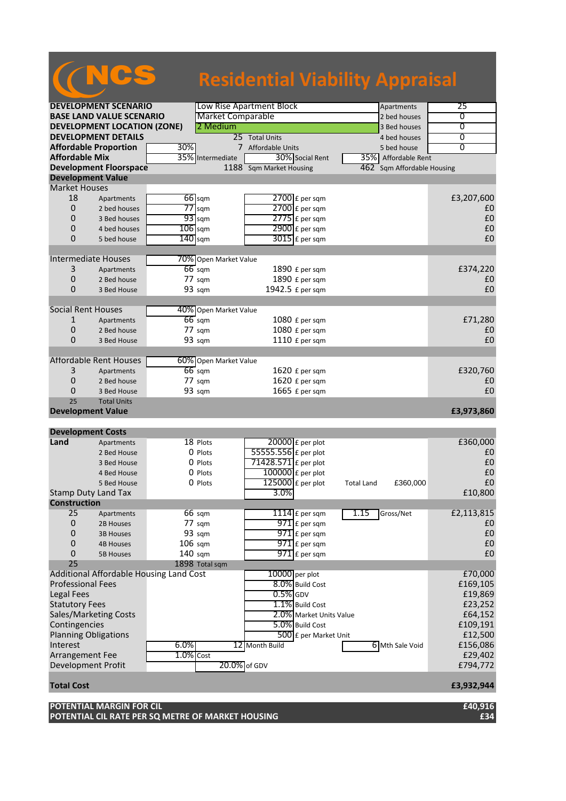|                             |                                    |                                         |                          |                               | <b>Residential Viability Appraisal</b> |                   |
|-----------------------------|------------------------------------|-----------------------------------------|--------------------------|-------------------------------|----------------------------------------|-------------------|
|                             |                                    |                                         |                          |                               |                                        |                   |
|                             | <b>DEVELOPMENT SCENARIO</b>        |                                         | Low Rise Apartment Block |                               | Apartments                             | 25                |
|                             | <b>BASE LAND VALUE SCENARIO</b>    |                                         | <b>Market Comparable</b> |                               | 2 bed houses                           | 0                 |
|                             | <b>DEVELOPMENT LOCATION (ZONE)</b> |                                         | 2 Medium                 |                               | 3 Bed houses                           | $\overline{0}$    |
|                             | <b>DEVELOPMENT DETAILS</b>         |                                         | 25 Total Units           |                               | 4 bed houses                           | 0                 |
|                             | <b>Affordable Proportion</b>       | 30%                                     |                          | 7 Affordable Units            | 5 bed house                            | $\overline{0}$    |
| <b>Affordable Mix</b>       |                                    | 35%                                     | Intermediate             | 30% Social Rent               | 35% Affordable Rent                    |                   |
|                             | <b>Development Floorspace</b>      |                                         |                          | 1188 Sqm Market Housing       | 462<br>Sqm Affordable Housing          |                   |
| <b>Development Value</b>    |                                    |                                         |                          |                               |                                        |                   |
| <b>Market Houses</b>        |                                    |                                         |                          |                               |                                        |                   |
| 18                          | Apartments                         | $66$ sqm                                |                          | $2700$ £ per sqm              |                                        | £3,207,600        |
| $\overline{0}$              | 2 bed houses                       | $77$ sqm                                |                          | $2700$ $E$ per sqm            |                                        | £0                |
| 0                           | 3 Bed houses                       | $93$ sqm                                |                          | $2775$ $E$ per sqm            |                                        | £0                |
| 0                           | 4 bed houses                       | $106$ sqm                               |                          | $2900 \text{ f}$ per sqm      |                                        | £0                |
| $\Omega$                    | 5 bed house                        | $140$ sqm                               |                          | $3015$ £ per sqm              |                                        | £0                |
|                             |                                    |                                         |                          |                               |                                        |                   |
| <b>Intermediate Houses</b>  |                                    |                                         | 70% Open Market Value    |                               |                                        |                   |
| 3                           | Apartments                         | $66$ sqm                                |                          | 1890 £ per sqm                |                                        | £374,220          |
| 0                           | 2 Bed house                        | 77 sqm                                  |                          | 1890 £ per sqm                |                                        | £0                |
| 0                           | 3 Bed House                        | 93 sqm                                  |                          | 1942.5 £ per sqm              |                                        | £0                |
| <b>Social Rent Houses</b>   |                                    |                                         | 40% Open Market Value    |                               |                                        |                   |
| 1                           | Apartments                         | $66$ sqm                                |                          | 1080 £ per sqm                |                                        | £71,280           |
| 0                           | 2 Bed house                        | 77 sqm                                  |                          | 1080 £ per sqm                |                                        | £0                |
| 0                           | 3 Bed House                        | 93 sqm                                  |                          | 1110 £ per sqm                |                                        | £0                |
|                             |                                    |                                         |                          |                               |                                        |                   |
|                             | <b>Affordable Rent Houses</b>      |                                         | 60% Open Market Value    |                               |                                        |                   |
| 3                           | Apartments                         | $66$ sqm                                |                          | 1620 £ per sqm                |                                        | £320,760          |
| 0                           | 2 Bed house                        | $77 \text{ sqm}$                        |                          | 1620 £ per sqm                |                                        | £0                |
| 0                           | 3 Bed House                        | 93 sqm                                  |                          | 1665 £ per sqm                |                                        | £0                |
| 25                          | <b>Total Units</b>                 |                                         |                          |                               |                                        |                   |
| <b>Development Value</b>    |                                    |                                         |                          |                               |                                        | £3,973,860        |
| <b>Development Costs</b>    |                                    |                                         |                          |                               |                                        |                   |
| Land                        | Apartments                         | 18 Plots                                |                          | $20000$ £ per plot            |                                        | £360,000          |
|                             | 2 Bed House                        | 0 Plots                                 |                          | 55555.556 £ per plot          |                                        | £0                |
|                             | 3 Bed House                        | 0 Plots                                 |                          | 71428.571 $\epsilon$ per plot |                                        | £0                |
|                             | 4 Bed House                        | 0 Plots                                 |                          | $100000$ £ per plot           |                                        | £0                |
|                             | 5 Bed House                        | 0 Plots                                 |                          | $125000$ £ per plot           | £360,000<br><b>Total Land</b>          | $\pmb{\text{f0}}$ |
| <b>Stamp Duty Land Tax</b>  |                                    |                                         |                          | 3.0%                          |                                        | £10,800           |
| <b>Construction</b>         |                                    |                                         |                          |                               |                                        |                   |
| 25                          | Apartments                         | 66 sqm                                  |                          | $1114$ $E$ per sqm            | 1.15<br>Gross/Net                      | £2,113,815        |
| 0                           | 2B Houses                          | 77 sqm                                  |                          | $971$ $E$ per sqm             |                                        | £0                |
| 0                           | <b>3B Houses</b>                   | 93 sqm                                  |                          | $971$ $E$ per sqm             |                                        | £0                |
| $\mathbf 0$                 | <b>4B Houses</b>                   | $106$ sqm                               |                          | 971 £ per sqm                 |                                        | £0                |
| 0                           | <b>5B Houses</b>                   | $140$ sqm                               |                          | $971$ £ per sqm               |                                        | £0                |
| 25                          |                                    | 1898 Total sqm                          |                          |                               |                                        |                   |
|                             |                                    | Additional Affordable Housing Land Cost |                          | 10000 per plot                |                                        | £70,000           |
| <b>Professional Fees</b>    |                                    |                                         |                          | 8.0% Build Cost               |                                        | £169,105          |
| Legal Fees                  |                                    |                                         |                          | $0.5\%$ GDV                   |                                        | £19,869           |
| <b>Statutory Fees</b>       |                                    |                                         |                          | 1.1% Build Cost               |                                        | £23,252           |
|                             | Sales/Marketing Costs              |                                         |                          | 2.0% Market Units Value       |                                        | £64,152           |
| Contingencies               |                                    |                                         |                          | 5.0% Build Cost               |                                        | £109,191          |
| <b>Planning Obligations</b> |                                    |                                         |                          | 500 £ per Market Unit         |                                        | £12,500           |
| Interest                    |                                    | 6.0%                                    | 12 Month Build           |                               | 6 Mth Sale Void                        | £156,086          |
| Arrangement Fee             |                                    | $1.0\%$ Cost                            |                          |                               |                                        | £29,402           |
| Development Profit          |                                    |                                         | 20.0% of GDV             |                               |                                        | £794,772          |
|                             |                                    |                                         |                          |                               |                                        |                   |
| <b>Total Cost</b>           |                                    |                                         |                          |                               |                                        | £3,932,944        |

**POTENTIAL MARGIN FOR CIL £40,916 POTENTIAL CIL RATE PER SQ METRE OF MARKET HOUSING £34**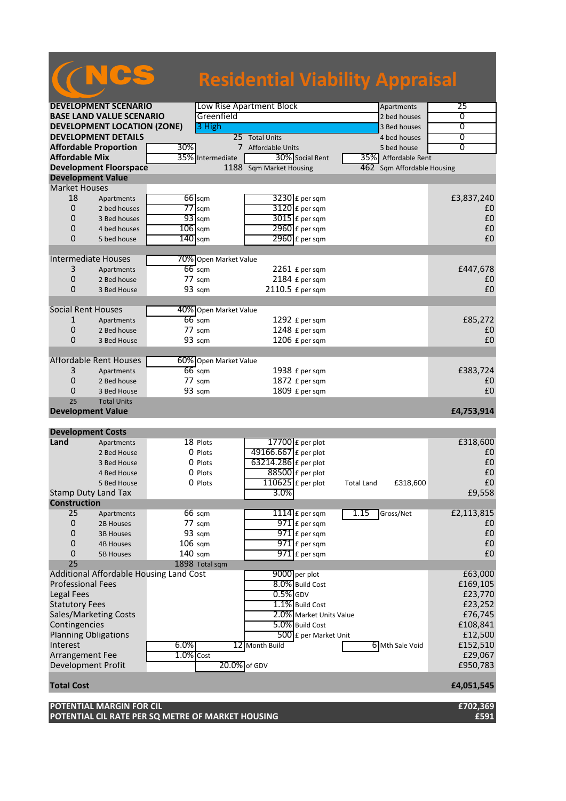|                                |                                    |                                                           | <b>Residential Viability Appraisal</b> |                               |                   |
|--------------------------------|------------------------------------|-----------------------------------------------------------|----------------------------------------|-------------------------------|-------------------|
|                                |                                    |                                                           |                                        |                               |                   |
|                                | <b>DEVELOPMENT SCENARIO</b>        |                                                           | Low Rise Apartment Block               | Apartments                    | 25                |
|                                | <b>BASE LAND VALUE SCENARIO</b>    |                                                           | Greenfield                             | 2 bed houses                  | 0                 |
|                                | <b>DEVELOPMENT LOCATION (ZONE)</b> | 3 High                                                    |                                        | 3 Bed houses                  | $\overline{0}$    |
|                                | <b>DEVELOPMENT DETAILS</b>         |                                                           | 25 Total Units                         | 4 bed houses                  | 0                 |
|                                | <b>Affordable Proportion</b>       | 30%                                                       | 7 Affordable Units                     | 5 bed house                   | $\overline{0}$    |
| <b>Affordable Mix</b>          |                                    | 35% Intermediate                                          | 30% Social Rent                        | 35% Affordable Rent           |                   |
|                                | <b>Development Floorspace</b>      |                                                           | 1188 Sqm Market Housing                | Sqm Affordable Housing<br>462 |                   |
|                                | <b>Development Value</b>           |                                                           |                                        |                               |                   |
| <b>Market Houses</b><br>18     |                                    | $66$ sqm                                                  |                                        |                               | £3,837,240        |
| 0                              | Apartments<br>2 bed houses         | $77$ sqm                                                  | $3230$ £ per sqm<br>3120 £ per sqm     |                               | £0                |
| 0                              | 3 Bed houses                       | $93$ sqm                                                  | $3015$ £ per sqm                       |                               | £0                |
| 0                              | 4 bed houses                       | $106$ sqm                                                 | 2960 £ per sqm                         |                               | £0                |
| $\Omega$                       | 5 bed house                        | $140$ sqm                                                 | $2960$ £ per sqm                       |                               | £0                |
|                                |                                    |                                                           |                                        |                               |                   |
|                                | <b>Intermediate Houses</b>         |                                                           | 70% Open Market Value                  |                               |                   |
| 3                              | Apartments                         | $66$ sqm                                                  | $2261$ £ per sqm                       |                               | £447,678          |
| 0                              | 2 Bed house                        | $77 \text{ sqm}$                                          | 2184 £ per sqm                         |                               | £0                |
| 0                              | 3 Bed House                        | 93 sqm                                                    | 2110.5 £ per sqm                       |                               | £0                |
|                                |                                    |                                                           |                                        |                               |                   |
| <b>Social Rent Houses</b>      |                                    |                                                           | 40% Open Market Value                  |                               |                   |
| 1                              | Apartments                         | $66$ sqm                                                  | 1292 £ per sqm                         |                               | £85,272           |
| 0                              | 2 Bed house                        | 77 sqm                                                    | 1248 £ per sqm                         |                               | £0                |
| 0                              | 3 Bed House                        | 93 sqm                                                    | 1206 £ per sqm                         |                               | £0                |
|                                |                                    |                                                           |                                        |                               |                   |
|                                | <b>Affordable Rent Houses</b>      |                                                           | 60% Open Market Value                  |                               |                   |
| 3                              | Apartments                         | $66$ sqm                                                  | 1938 £ per sqm                         |                               | £383,724          |
| 0                              | 2 Bed house                        | $77 \text{ sqm}$                                          | 1872 £ per sqm                         |                               | £0                |
| 0                              | 3 Bed House                        | 93 sqm                                                    | 1809 £ per sqm                         |                               | £0                |
| 25<br><b>Development Value</b> | <b>Total Units</b>                 |                                                           |                                        |                               | £4,753,914        |
|                                |                                    |                                                           |                                        |                               |                   |
| <b>Development Costs</b>       |                                    |                                                           |                                        |                               |                   |
| Land                           | Apartments                         | 18 Plots                                                  | 17700 $E$ per plot                     |                               | £318,600          |
|                                | 2 Bed House                        | 0 Plots                                                   | 49166.667 £ per plot                   |                               | £0                |
|                                | 3 Bed House                        | 0 Plots                                                   | 63214.286 £ per plot                   |                               | £0                |
|                                | 4 Bed House                        | 0 Plots                                                   | $88500$ £ per plot                     |                               | £0                |
|                                | 5 Bed House                        | 0 Plots                                                   | $110625$ £ per plot                    | £318,600<br><b>Total Land</b> | $\pmb{\text{f0}}$ |
|                                | Stamp Duty Land Tax                |                                                           | 3.0%                                   |                               | £9,558            |
| <b>Construction</b>            |                                    |                                                           |                                        |                               |                   |
| 25                             | Apartments                         | 66 sqm                                                    | $1114$ $E$ per sqm                     | 1.15<br>Gross/Net             | £2,113,815        |
| $\boldsymbol{0}$               | 2B Houses                          | 77 sqm                                                    | $971$ $E$ per sqm                      |                               | £0                |
| 0                              | <b>3B Houses</b>                   | 93 sqm                                                    | $971$ $E$ per sqm                      |                               | £0                |
| 0                              | <b>4B Houses</b>                   | $106$ sqm                                                 | $971$ $E$ per sqm                      |                               | £0                |
| 0<br>25                        | <b>5B Houses</b>                   | $140$ sqm                                                 | $971$ £ per sqm                        |                               | £0                |
|                                |                                    | 1898 Total sqm<br>Additional Affordable Housing Land Cost | 9000 per plot                          |                               | £63,000           |
| <b>Professional Fees</b>       |                                    |                                                           | 8.0% Build Cost                        |                               | £169,105          |
| <b>Legal Fees</b>              |                                    |                                                           | $0.5\%$ GDV                            |                               | £23,770           |
| <b>Statutory Fees</b>          |                                    |                                                           | 1.1% Build Cost                        |                               | £23,252           |
|                                | Sales/Marketing Costs              |                                                           | 2.0% Market Units Value                |                               | £76,745           |
| Contingencies                  |                                    |                                                           | 5.0% Build Cost                        |                               | £108,841          |
|                                | <b>Planning Obligations</b>        |                                                           | 500 £ per Market Unit                  |                               | £12,500           |
| Interest                       |                                    | 6.0%                                                      | 12 Month Build                         | 6 Mth Sale Void               | £152,510          |
| <b>Arrangement Fee</b>         |                                    | $1.0\%$ Cost                                              |                                        |                               | £29,067           |
| Development Profit             |                                    |                                                           | 20.0% of GDV                           |                               | £950,783          |
|                                |                                    |                                                           |                                        |                               |                   |
| <b>Total Cost</b>              |                                    |                                                           |                                        |                               | £4,051,545        |

**POTENTIAL MARGIN FOR CIL £702,369 POTENTIAL CIL RATE PER SQ METRE OF MARKET HOUSING £591**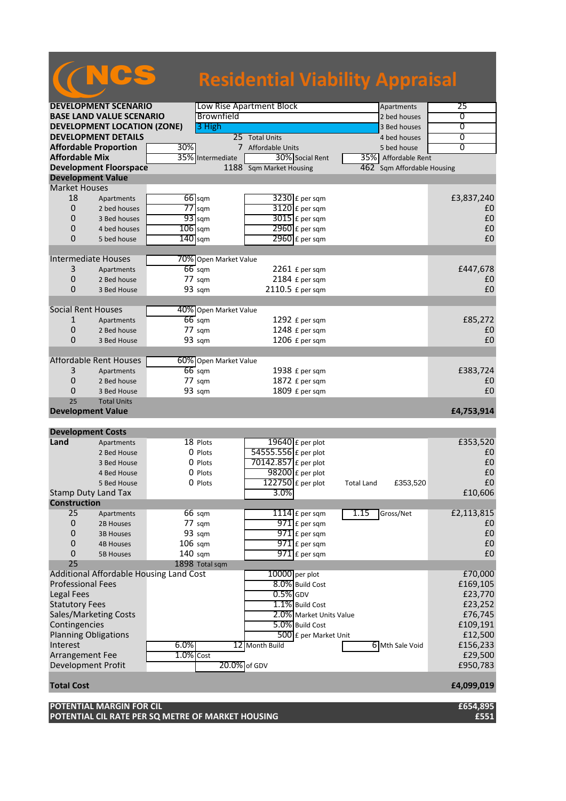|                                  |                                         |              |                       | <b>Residential Viability Appraisal</b> |                         |                   |                        |                   |
|----------------------------------|-----------------------------------------|--------------|-----------------------|----------------------------------------|-------------------------|-------------------|------------------------|-------------------|
|                                  | <b>DEVELOPMENT SCENARIO</b>             |              |                       | Low Rise Apartment Block               |                         |                   | Apartments             | 25                |
|                                  | <b>BASE LAND VALUE SCENARIO</b>         |              | Brownfield            |                                        |                         |                   | 2 bed houses           | 0                 |
|                                  | <b>DEVELOPMENT LOCATION (ZONE)</b>      |              | 3 High                |                                        |                         |                   | 3 Bed houses           | $\overline{0}$    |
|                                  | <b>DEVELOPMENT DETAILS</b>              |              |                       | 25 Total Units                         |                         |                   | 4 bed houses           | 0                 |
|                                  | <b>Affordable Proportion</b>            | 30%          |                       | 7 Affordable Units                     |                         |                   | 5 bed house            | $\overline{0}$    |
| <b>Affordable Mix</b>            |                                         | 35%          | Intermediate          |                                        | 30% Social Rent         |                   | 35% Affordable Rent    |                   |
|                                  | <b>Development Floorspace</b>           |              |                       | 1188 Sqm Market Housing                |                         | 462               | Sqm Affordable Housing |                   |
| <b>Development Value</b>         |                                         |              |                       |                                        |                         |                   |                        |                   |
| <b>Market Houses</b>             |                                         |              |                       |                                        |                         |                   |                        |                   |
| 18                               | Apartments                              |              | $66$ sqm              |                                        | $3230$ £ per sqm        |                   |                        | £3,837,240        |
| 0                                | 2 bed houses                            |              | $77$ sqm              |                                        | $3120$ £ per sqm        |                   |                        | £0                |
| $\Omega$                         | 3 Bed houses                            |              | $93$ sqm              |                                        | $3015$ £ per sqm        |                   |                        | £0                |
| 0                                | 4 bed houses                            |              | $106$ sqm             |                                        | 2960 £ per sqm          |                   |                        | £0                |
| $\Omega$                         | 5 bed house                             | $140$ sqm    |                       |                                        | $2960$ £ per sqm        |                   |                        | £0                |
|                                  |                                         |              |                       |                                        |                         |                   |                        |                   |
| <b>Intermediate Houses</b>       |                                         |              | 70% Open Market Value |                                        |                         |                   |                        |                   |
| 3                                | Apartments                              |              | $66$ sqm              |                                        | $2261$ £ per sqm        |                   |                        | £447,678          |
| 0                                | 2 Bed house                             |              | $77 \text{ s}$ gm     |                                        | 2184 £ per sqm          |                   |                        | £0                |
| $\Omega$                         | 3 Bed House                             |              | 93 sqm                | 2110.5 £ per sqm                       |                         |                   |                        | £0                |
|                                  |                                         |              |                       |                                        |                         |                   |                        |                   |
| <b>Social Rent Houses</b>        |                                         |              | 40% Open Market Value |                                        |                         |                   |                        |                   |
| 1                                | Apartments                              |              | $66$ sqm              |                                        | 1292 £ per sqm          |                   |                        | £85,272           |
| 0                                | 2 Bed house                             |              | $77 \text{ sqm}$      |                                        | 1248 £ per sqm          |                   |                        | £0                |
| $\Omega$                         | 3 Bed House                             |              | 93 sqm                |                                        | 1206 £ per sqm          |                   |                        | £0                |
|                                  |                                         |              |                       |                                        |                         |                   |                        |                   |
|                                  | <b>Affordable Rent Houses</b>           |              | 60% Open Market Value |                                        |                         |                   |                        |                   |
| 3                                | Apartments                              |              | $66$ sqm              |                                        | 1938 £ per sqm          |                   |                        | £383,724          |
| 0                                | 2 Bed house                             |              | $77 \text{ sqm}$      |                                        | 1872 £ per sqm          |                   |                        | £0                |
| 0                                | 3 Bed House                             |              | 93 sqm                |                                        | 1809 £ per sqm          |                   |                        | £0                |
| 25                               | <b>Total Units</b>                      |              |                       |                                        |                         |                   |                        |                   |
| <b>Development Value</b>         |                                         |              |                       |                                        |                         |                   |                        | £4,753,914        |
|                                  |                                         |              |                       |                                        |                         |                   |                        |                   |
| <b>Development Costs</b><br>Land | Apartments                              |              | 18 Plots              | 19640 £ per plot                       |                         |                   |                        | £353,520          |
|                                  | 2 Bed House                             |              | 0 Plots               | 54555.556 £ per plot                   |                         |                   |                        | £0                |
|                                  | 3 Bed House                             |              | 0 Plots               | 70142.857 £ per plot                   |                         |                   |                        | £0                |
|                                  | 4 Bed House                             |              | 0 Plots               | $98200$ £ per plot                     |                         |                   |                        | £0                |
|                                  | 5 Bed House                             |              | 0 Plots               | $122750$ £ per plot                    |                         | <b>Total Land</b> | £353,520               | $\pmb{\text{f0}}$ |
| Stamp Duty Land Tax              |                                         |              |                       | 3.0%                                   |                         |                   |                        | £10,606           |
| <b>Construction</b>              |                                         |              |                       |                                        |                         |                   |                        |                   |
| 25                               | Apartments                              |              | 66 sqm                |                                        | $1114$ $E$ per sqm      | 1.15              | Gross/Net              | £2,113,815        |
| $\boldsymbol{0}$                 | 2B Houses                               |              | 77 sqm                |                                        | $971$ $E$ per sqm       |                   |                        | £0                |
| 0                                | <b>3B Houses</b>                        |              | 93 sqm                |                                        | $971$ £ per sqm         |                   |                        | £0                |
| $\mathbf 0$                      | <b>4B Houses</b>                        |              | $106$ sqm             |                                        | $971$ $E$ per sqm       |                   |                        | £0                |
| 0                                | <b>5B Houses</b>                        | 140 sqm      |                       |                                        | $971$ $E$ per sqm       |                   |                        | £0                |
| 25                               |                                         |              | 1898 Total sqm        |                                        |                         |                   |                        |                   |
|                                  | Additional Affordable Housing Land Cost |              |                       | 10000 per plot                         |                         |                   |                        | £70,000           |
| <b>Professional Fees</b>         |                                         |              |                       |                                        | 8.0% Build Cost         |                   |                        | £169,105          |
| <b>Legal Fees</b>                |                                         |              |                       | $0.5\%$ GDV                            |                         |                   |                        | £23,770           |
| <b>Statutory Fees</b>            |                                         |              |                       |                                        | 1.1% Build Cost         |                   |                        | £23,252           |
|                                  | Sales/Marketing Costs                   |              |                       |                                        | 2.0% Market Units Value |                   |                        | £76,745           |
| Contingencies                    |                                         |              |                       |                                        | 5.0% Build Cost         |                   |                        | £109,191          |
| <b>Planning Obligations</b>      |                                         |              |                       |                                        | 500 £ per Market Unit   |                   |                        | £12,500           |
| Interest                         |                                         | 6.0%         |                       | 12 Month Build                         |                         |                   | 6 Mth Sale Void        | £156,233          |
| Arrangement Fee                  |                                         | $1.0\%$ Cost |                       |                                        |                         |                   |                        | £29,500           |
| <b>Development Profit</b>        |                                         |              |                       | 20.0% of GDV                           |                         |                   |                        | £950,783          |
|                                  |                                         |              |                       |                                        |                         |                   |                        |                   |
| <b>Total Cost</b>                |                                         |              |                       |                                        |                         |                   |                        | £4,099,019        |
|                                  | <b>POTENTIAL MARGIN FOR CIL</b>         |              |                       |                                        |                         |                   |                        | £654,895          |

**POTENTIAL CIL RATE PER SQ METRE OF MARKET HOUSING £551**

a a shekara ta 1970.<br>Matukio